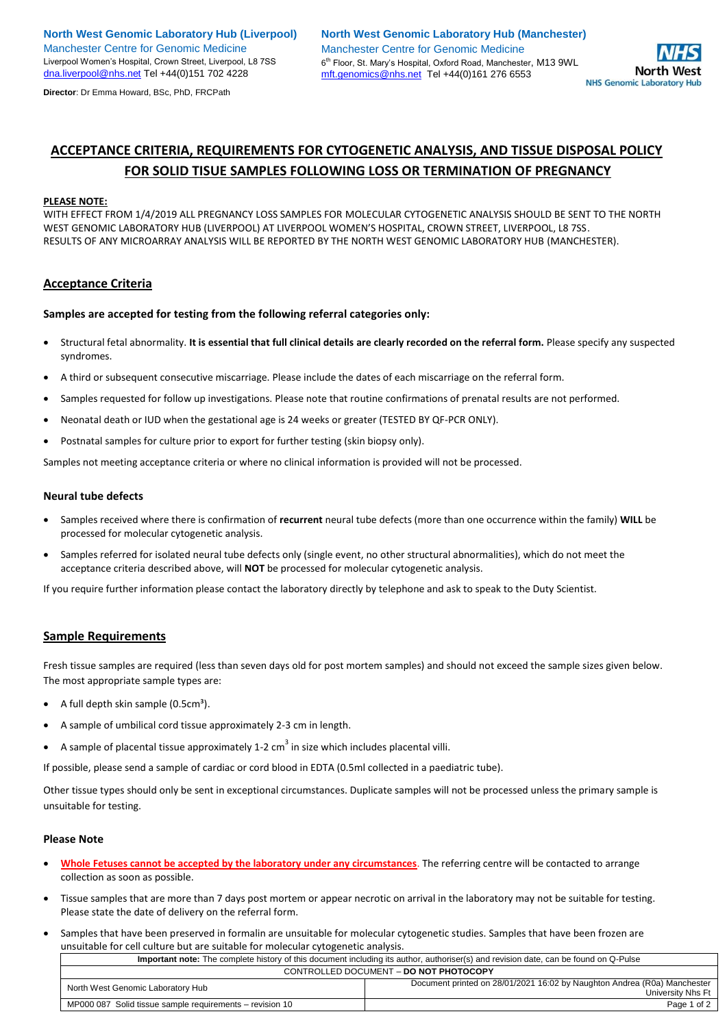**Director**: Dr Emma Howard, BSc, PhD, FRCPath



# **ACCEPTANCE CRITERIA, REQUIREMENTS FOR CYTOGENETIC ANALYSIS, AND TISSUE DISPOSAL POLICY FOR SOLID TISUE SAMPLES FOLLOWING LOSS OR TERMINATION OF PREGNANCY**

### **PLEASE NOTE:**

WITH EFFECT FROM 1/4/2019 ALL PREGNANCY LOSS SAMPLES FOR MOLECULAR CYTOGENETIC ANALYSIS SHOULD BE SENT TO THE NORTH WEST GENOMIC LABORATORY HUB (LIVERPOOL) AT LIVERPOOL WOMEN'S HOSPITAL, CROWN STREET, LIVERPOOL, L8 7SS. RESULTS OF ANY MICROARRAY ANALYSIS WILL BE REPORTED BY THE NORTH WEST GENOMIC LABORATORY HUB (MANCHESTER).

### **Acceptance Criteria**

**Samples are accepted for testing from the following referral categories only:**

- Structural fetal abnormality. **It is essential that full clinical details are clearly recorded on the referral form.** Please specify any suspected syndromes.
- A third or subsequent consecutive miscarriage. Please include the dates of each miscarriage on the referral form.
- Samples requested for follow up investigations. Please note that routine confirmations of prenatal results are not performed.
- Neonatal death or IUD when the gestational age is 24 weeks or greater (TESTED BY QF-PCR ONLY).
- Postnatal samples for culture prior to export for further testing (skin biopsy only).

Samples not meeting acceptance criteria or where no clinical information is provided will not be processed.

#### **Neural tube defects**

- Samples received where there is confirmation of **recurrent** neural tube defects (more than one occurrence within the family) **WILL** be processed for molecular cytogenetic analysis.
- Samples referred for isolated neural tube defects only (single event, no other structural abnormalities), which do not meet the acceptance criteria described above, will **NOT** be processed for molecular cytogenetic analysis.

If you require further information please contact the laboratory directly by telephone and ask to speak to the Duty Scientist.

### **Sample Requirements**

Fresh tissue samples are required (less than seven days old for post mortem samples) and should not exceed the sample sizes given below. The most appropriate sample types are:

- A full depth skin sample  $(0.5cm<sup>3</sup>)$ .
- A sample of umbilical cord tissue approximately 2-3 cm in length.
- A sample of placental tissue approximately 1-2 cm<sup>3</sup> in size which includes placental villi.

If possible, please send a sample of cardiac or cord blood in EDTA (0.5ml collected in a paediatric tube).

Other tissue types should only be sent in exceptional circumstances. Duplicate samples will not be processed unless the primary sample is unsuitable for testing.

#### **Please Note**

- **Whole Fetuses cannot be accepted by the laboratory under any circumstances**. The referring centre will be contacted to arrange collection as soon as possible.
- Tissue samples that are more than 7 days post mortem or appear necrotic on arrival in the laboratory may not be suitable for testing. Please state the date of delivery on the referral form.
- Samples that have been preserved in formalin are unsuitable for molecular cytogenetic studies. Samples that have been frozen are unsuitable for cell culture but are suitable for molecular cytogenetic analysis.

| Important note: The complete history of this document including its author, authoriser(s) and revision date, can be found on Q-Pulse |                                                                                               |
|--------------------------------------------------------------------------------------------------------------------------------------|-----------------------------------------------------------------------------------------------|
| CONTROLLED DOCUMENT - DO NOT PHOTOCOPY                                                                                               |                                                                                               |
| North West Genomic Laboratory Hub                                                                                                    | Document printed on 28/01/2021 16:02 by Naughton Andrea (R0a) Manchester<br>University Nhs Ft |
| MP000 087 Solid tissue sample requirements – revision 10                                                                             | Page 1 of 2                                                                                   |